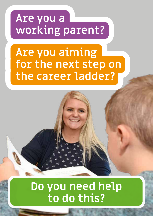### *Are you a working parent?*

## *Are you aiming for the next step on the career ladder?*

### *Do you need help to do this?*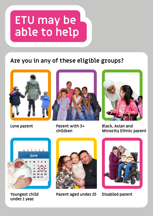# *ETU may be able to help*

#### *Are you in any of these eligible groups?*





*Lone parent Parent with 3+ children*



*Black, Asian and Minority Ethnic parent*



*Youngest child under 1 year*



*Parent aged under 25 Disabled parent*

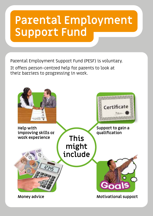## *Parental Employment Support Fund*

Parental Employment Support Fund (PESF) is voluntary.

It offers person-centred help for parents to look at their barriers to progressing in work.